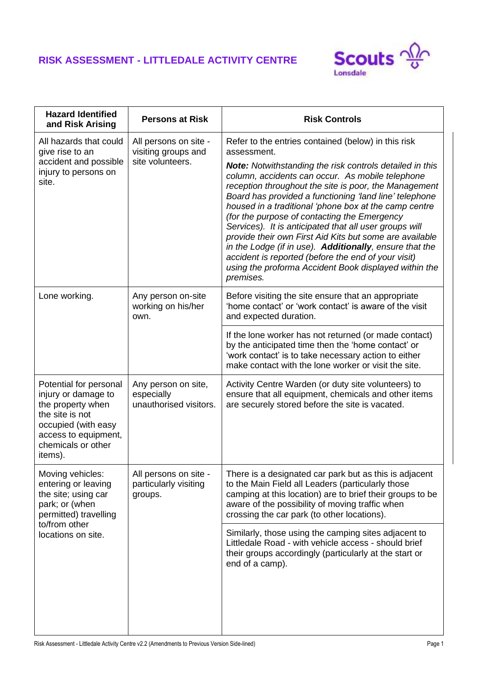## **RISK ASSESSMENT - LITTLEDALE ACTIVITY CENTRE**



| <b>Persons at Risk</b>                                      | <b>Risk Controls</b>                                                                                                                                                                                                                                                                                                                                                                                                                                                                                                                                                                                                                                         |
|-------------------------------------------------------------|--------------------------------------------------------------------------------------------------------------------------------------------------------------------------------------------------------------------------------------------------------------------------------------------------------------------------------------------------------------------------------------------------------------------------------------------------------------------------------------------------------------------------------------------------------------------------------------------------------------------------------------------------------------|
| All persons on site -<br>visiting groups and                | Refer to the entries contained (below) in this risk<br>assessment.                                                                                                                                                                                                                                                                                                                                                                                                                                                                                                                                                                                           |
|                                                             | <b>Note:</b> Notwithstanding the risk controls detailed in this<br>column, accidents can occur. As mobile telephone<br>reception throughout the site is poor, the Management<br>Board has provided a functioning 'land line' telephone<br>housed in a traditional 'phone box at the camp centre<br>(for the purpose of contacting the Emergency<br>Services). It is anticipated that all user groups will<br>provide their own First Aid Kits but some are available<br>in the Lodge (if in use). Additionally, ensure that the<br>accident is reported (before the end of your visit)<br>using the proforma Accident Book displayed within the<br>premises. |
| Any person on-site<br>working on his/her<br>own.            | Before visiting the site ensure that an appropriate<br>'home contact' or 'work contact' is aware of the visit<br>and expected duration.                                                                                                                                                                                                                                                                                                                                                                                                                                                                                                                      |
|                                                             | If the lone worker has not returned (or made contact)<br>by the anticipated time then the 'home contact' or<br>'work contact' is to take necessary action to either<br>make contact with the lone worker or visit the site.                                                                                                                                                                                                                                                                                                                                                                                                                                  |
| Any person on site,<br>especially<br>unauthorised visitors. | Activity Centre Warden (or duty site volunteers) to<br>ensure that all equipment, chemicals and other items<br>are securely stored before the site is vacated.                                                                                                                                                                                                                                                                                                                                                                                                                                                                                               |
| All persons on site -<br>particularly visiting<br>groups.   | There is a designated car park but as this is adjacent<br>to the Main Field all Leaders (particularly those<br>camping at this location) are to brief their groups to be<br>aware of the possibility of moving traffic when<br>crossing the car park (to other locations).                                                                                                                                                                                                                                                                                                                                                                                   |
|                                                             | Similarly, those using the camping sites adjacent to<br>Littledale Road - with vehicle access - should brief<br>their groups accordingly (particularly at the start or<br>end of a camp).                                                                                                                                                                                                                                                                                                                                                                                                                                                                    |
|                                                             | site volunteers.                                                                                                                                                                                                                                                                                                                                                                                                                                                                                                                                                                                                                                             |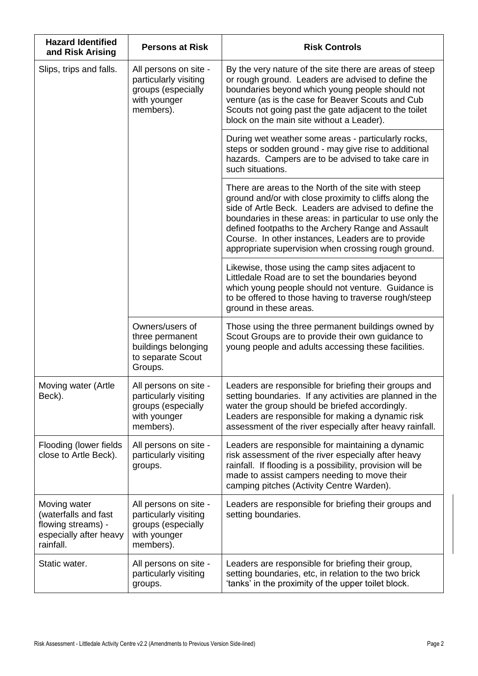| <b>Hazard Identified</b><br>and Risk Arising                                                      | <b>Persons at Risk</b>                                                                            | <b>Risk Controls</b>                                                                                                                                                                                                                                                                                                                                                                                  |
|---------------------------------------------------------------------------------------------------|---------------------------------------------------------------------------------------------------|-------------------------------------------------------------------------------------------------------------------------------------------------------------------------------------------------------------------------------------------------------------------------------------------------------------------------------------------------------------------------------------------------------|
| Slips, trips and falls.                                                                           | All persons on site -<br>particularly visiting<br>groups (especially<br>with younger<br>members). | By the very nature of the site there are areas of steep<br>or rough ground. Leaders are advised to define the<br>boundaries beyond which young people should not<br>venture (as is the case for Beaver Scouts and Cub<br>Scouts not going past the gate adjacent to the toilet<br>block on the main site without a Leader).                                                                           |
|                                                                                                   |                                                                                                   | During wet weather some areas - particularly rocks,<br>steps or sodden ground - may give rise to additional<br>hazards. Campers are to be advised to take care in<br>such situations.                                                                                                                                                                                                                 |
|                                                                                                   |                                                                                                   | There are areas to the North of the site with steep<br>ground and/or with close proximity to cliffs along the<br>side of Artle Beck. Leaders are advised to define the<br>boundaries in these areas: in particular to use only the<br>defined footpaths to the Archery Range and Assault<br>Course. In other instances, Leaders are to provide<br>appropriate supervision when crossing rough ground. |
|                                                                                                   |                                                                                                   | Likewise, those using the camp sites adjacent to<br>Littledale Road are to set the boundaries beyond<br>which young people should not venture. Guidance is<br>to be offered to those having to traverse rough/steep<br>ground in these areas.                                                                                                                                                         |
|                                                                                                   | Owners/users of<br>three permanent<br>buildings belonging<br>to separate Scout<br>Groups.         | Those using the three permanent buildings owned by<br>Scout Groups are to provide their own guidance to<br>young people and adults accessing these facilities.                                                                                                                                                                                                                                        |
| Moving water (Artle<br>Beck).                                                                     | All persons on site -<br>particularly visiting<br>groups (especially<br>with younger<br>members). | Leaders are responsible for briefing their groups and<br>setting boundaries. If any activities are planned in the<br>water the group should be briefed accordingly.<br>Leaders are responsible for making a dynamic risk<br>assessment of the river especially after heavy rainfall.                                                                                                                  |
| Flooding (lower fields)<br>close to Artle Beck).                                                  | All persons on site -<br>particularly visiting<br>groups.                                         | Leaders are responsible for maintaining a dynamic<br>risk assessment of the river especially after heavy<br>rainfall. If flooding is a possibility, provision will be<br>made to assist campers needing to move their<br>camping pitches (Activity Centre Warden).                                                                                                                                    |
| Moving water<br>(waterfalls and fast<br>flowing streams) -<br>especially after heavy<br>rainfall. | All persons on site -<br>particularly visiting<br>groups (especially<br>with younger<br>members). | Leaders are responsible for briefing their groups and<br>setting boundaries.                                                                                                                                                                                                                                                                                                                          |
| Static water.                                                                                     | All persons on site -<br>particularly visiting<br>groups.                                         | Leaders are responsible for briefing their group,<br>setting boundaries, etc, in relation to the two brick<br>'tanks' in the proximity of the upper toilet block.                                                                                                                                                                                                                                     |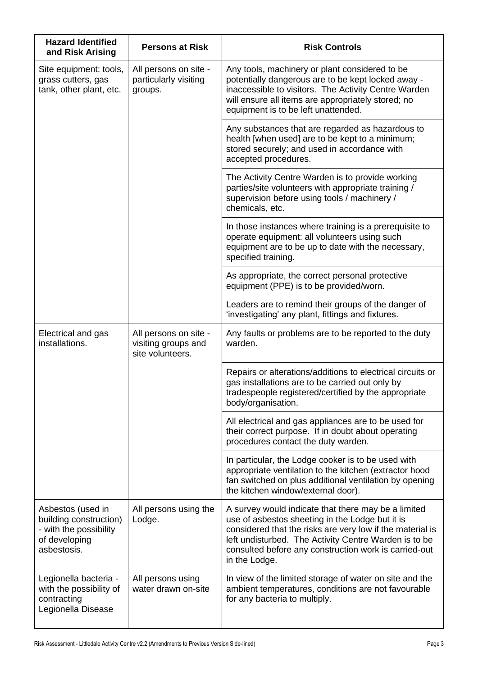| <b>Hazard Identified</b><br>and Risk Arising                                                          | <b>Persons at Risk</b>                                           | <b>Risk Controls</b>                                                                                                                                                                                                                                                                                   |
|-------------------------------------------------------------------------------------------------------|------------------------------------------------------------------|--------------------------------------------------------------------------------------------------------------------------------------------------------------------------------------------------------------------------------------------------------------------------------------------------------|
| Site equipment: tools,<br>grass cutters, gas<br>tank, other plant, etc.                               | All persons on site -<br>particularly visiting<br>groups.        | Any tools, machinery or plant considered to be<br>potentially dangerous are to be kept locked away -<br>inaccessible to visitors. The Activity Centre Warden<br>will ensure all items are appropriately stored; no<br>equipment is to be left unattended.                                              |
|                                                                                                       |                                                                  | Any substances that are regarded as hazardous to<br>health [when used] are to be kept to a minimum;<br>stored securely; and used in accordance with<br>accepted procedures.                                                                                                                            |
|                                                                                                       |                                                                  | The Activity Centre Warden is to provide working<br>parties/site volunteers with appropriate training /<br>supervision before using tools / machinery /<br>chemicals, etc.                                                                                                                             |
|                                                                                                       |                                                                  | In those instances where training is a prerequisite to<br>operate equipment: all volunteers using such<br>equipment are to be up to date with the necessary,<br>specified training.                                                                                                                    |
|                                                                                                       |                                                                  | As appropriate, the correct personal protective<br>equipment (PPE) is to be provided/worn.                                                                                                                                                                                                             |
|                                                                                                       |                                                                  | Leaders are to remind their groups of the danger of<br>'investigating' any plant, fittings and fixtures.                                                                                                                                                                                               |
| Electrical and gas<br>installations.                                                                  | All persons on site -<br>visiting groups and<br>site volunteers. | Any faults or problems are to be reported to the duty<br>warden.                                                                                                                                                                                                                                       |
|                                                                                                       |                                                                  | Repairs or alterations/additions to electrical circuits or<br>gas installations are to be carried out only by<br>tradespeople registered/certified by the appropriate<br>body/organisation.                                                                                                            |
|                                                                                                       |                                                                  | All electrical and gas appliances are to be used for<br>their correct purpose. If in doubt about operating<br>procedures contact the duty warden.                                                                                                                                                      |
|                                                                                                       |                                                                  | In particular, the Lodge cooker is to be used with<br>appropriate ventilation to the kitchen (extractor hood<br>fan switched on plus additional ventilation by opening<br>the kitchen window/external door).                                                                                           |
| Asbestos (used in<br>building construction)<br>- with the possibility<br>of developing<br>asbestosis. | All persons using the<br>Lodge.                                  | A survey would indicate that there may be a limited<br>use of asbestos sheeting in the Lodge but it is<br>considered that the risks are very low if the material is<br>left undisturbed. The Activity Centre Warden is to be<br>consulted before any construction work is carried-out<br>in the Lodge. |
| Legionella bacteria -<br>with the possibility of<br>contracting<br>Legionella Disease                 | All persons using<br>water drawn on-site                         | In view of the limited storage of water on site and the<br>ambient temperatures, conditions are not favourable<br>for any bacteria to multiply.                                                                                                                                                        |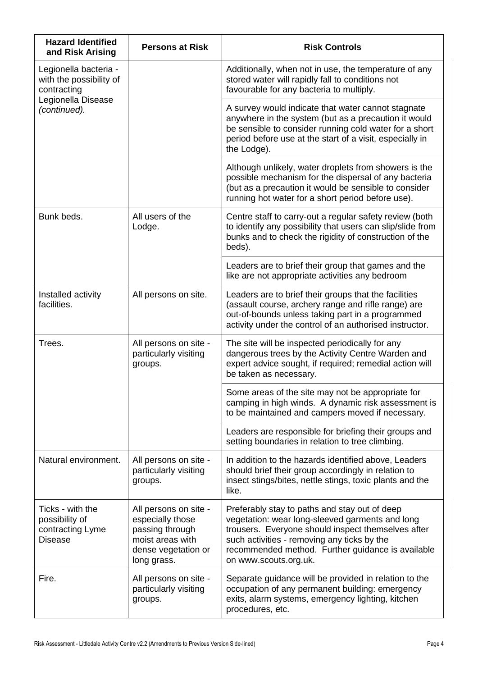| <b>Hazard Identified</b><br>and Risk Arising                                                          | <b>Persons at Risk</b>                                                                                                 | <b>Risk Controls</b>                                                                                                                                                                                                                                                                |
|-------------------------------------------------------------------------------------------------------|------------------------------------------------------------------------------------------------------------------------|-------------------------------------------------------------------------------------------------------------------------------------------------------------------------------------------------------------------------------------------------------------------------------------|
| Legionella bacteria -<br>with the possibility of<br>contracting<br>Legionella Disease<br>(continued). |                                                                                                                        | Additionally, when not in use, the temperature of any<br>stored water will rapidly fall to conditions not<br>favourable for any bacteria to multiply.                                                                                                                               |
|                                                                                                       |                                                                                                                        | A survey would indicate that water cannot stagnate<br>anywhere in the system (but as a precaution it would<br>be sensible to consider running cold water for a short<br>period before use at the start of a visit, especially in<br>the Lodge).                                     |
|                                                                                                       |                                                                                                                        | Although unlikely, water droplets from showers is the<br>possible mechanism for the dispersal of any bacteria<br>(but as a precaution it would be sensible to consider<br>running hot water for a short period before use).                                                         |
| Bunk beds.                                                                                            | All users of the<br>Lodge.                                                                                             | Centre staff to carry-out a regular safety review (both<br>to identify any possibility that users can slip/slide from<br>bunks and to check the rigidity of construction of the<br>beds).                                                                                           |
|                                                                                                       |                                                                                                                        | Leaders are to brief their group that games and the<br>like are not appropriate activities any bedroom                                                                                                                                                                              |
| Installed activity<br>facilities.                                                                     | All persons on site.                                                                                                   | Leaders are to brief their groups that the facilities<br>(assault course, archery range and rifle range) are<br>out-of-bounds unless taking part in a programmed<br>activity under the control of an authorised instructor.                                                         |
| Trees.                                                                                                | All persons on site -<br>particularly visiting<br>groups.                                                              | The site will be inspected periodically for any<br>dangerous trees by the Activity Centre Warden and<br>expert advice sought, if required; remedial action will<br>be taken as necessary.                                                                                           |
|                                                                                                       |                                                                                                                        | Some areas of the site may not be appropriate for<br>camping in high winds. A dynamic risk assessment is<br>to be maintained and campers moved if necessary.                                                                                                                        |
|                                                                                                       |                                                                                                                        | Leaders are responsible for briefing their groups and<br>setting boundaries in relation to tree climbing.                                                                                                                                                                           |
| Natural environment.                                                                                  | All persons on site -<br>particularly visiting<br>groups.                                                              | In addition to the hazards identified above, Leaders<br>should brief their group accordingly in relation to<br>insect stings/bites, nettle stings, toxic plants and the<br>like.                                                                                                    |
| Ticks - with the<br>possibility of<br>contracting Lyme<br><b>Disease</b>                              | All persons on site -<br>especially those<br>passing through<br>moist areas with<br>dense vegetation or<br>long grass. | Preferably stay to paths and stay out of deep<br>vegetation: wear long-sleeved garments and long<br>trousers. Everyone should inspect themselves after<br>such activities - removing any ticks by the<br>recommended method. Further guidance is available<br>on www.scouts.org.uk. |
| Fire.                                                                                                 | All persons on site -<br>particularly visiting<br>groups.                                                              | Separate guidance will be provided in relation to the<br>occupation of any permanent building: emergency<br>exits, alarm systems, emergency lighting, kitchen<br>procedures, etc.                                                                                                   |